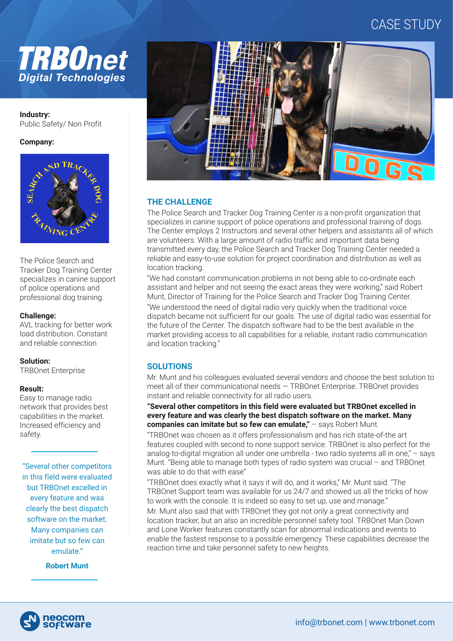# CASE STUDY



**Industry:**  Public Safety/ Non Profit

## **Company:**



The Police Search and Tracker Dog Training Center specializes in canine support of police operations and professional dog training.

## **Challenge:**

AVL tracking for better work load distribution. Constant and reliable connection

## **Solution:**

TRBOnet Enterprise

## **Result:**

Easy to manage radio network that provides best capabilities in the market. Increased efficiency and safety.

"Several other competitors in this field were evaluated but TRBOnet excelled in every feature and was clearly the best dispatch software on the market. Many companies can imitate but so few can emulate."

**Robert Munt**



# **THE CHALLENGE**

The Police Search and Tracker Dog Training Center is a non-profit organization that specializes in canine support of police operations and professional training of dogs. The Center employs 2 Instructors and several other helpers and assistants all of which are volunteers. With a large amount of radio traffic and important data being transmitted every day, the Police Search and Tracker Dog Training Center needed a reliable and easy-to-use solution for project coordination and distribution as well as location tracking.

"We had constant communication problems in not being able to co-ordinate each assistant and helper and not seeing the exact areas they were working," said Robert Munt, Director of Training for the Police Search and Tracker Dog Training Center. "We understood the need of digital radio very quickly when the traditional voice dispatch became not sufficient for our goals. The use of digital radio was essential for the future of the Center. The dispatch software had to be the best available in the market providing access to all capabilities for a reliable, instant radio communication and location tracking."

# **SOLUTIONS**

Mr. Munt and his colleagues evaluated several vendors and choose the best solution to meet all of their communicational needs — TRBOnet Enterprise. TRBOnet provides instant and reliable connectivity for all radio users.

## **"Several other competitors in this field were evaluated but TRBOnet excelled in every feature and was clearly the best dispatch software on the market. Many companies can imitate but so few can emulate,"** – says Robert Munt.

"TRBOnet was chosen as it offers professionalism and has rich state-of-the art features coupled with second to none support service. TRBOnet is also perfect for the analog-to-digital migration all under one umbrella - two radio systems all in one," – says Munt. "Being able to manage both types of radio system was crucial – and TRBOnet was able to do that with ease"

"TRBOnet does exactly what it says it will do, and it works," Mr. Munt said. "The TRBOnet Support team was available for us 24/7 and showed us all the tricks of how to work with the console. It is indeed so easy to set up, use and manage."

Mr. Munt also said that with TRBOnet they got not only a great connectivity and location tracker, but an also an incredible personnel safety tool. TRBOnet Man Down and Lone Worker features constantly scan for abnormal indications and events to enable the fastest response to a possible emergency. These capabilities decrease the reaction time and take personnel safety to new heights.